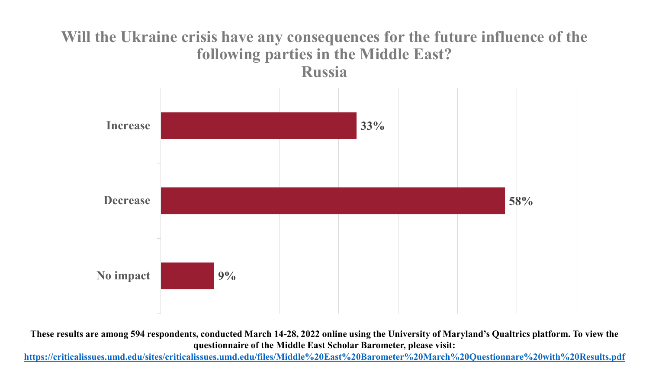#### **Will the Ukraine crisis have any consequences for the future influence of the following parties in the Middle East? Russia**



**These results are among 594 respondents, conducted March 14-28, 2022 online using the University of Maryland's Qualtrics platform. To view the questionnaire of the Middle East Scholar Barometer, please visit:**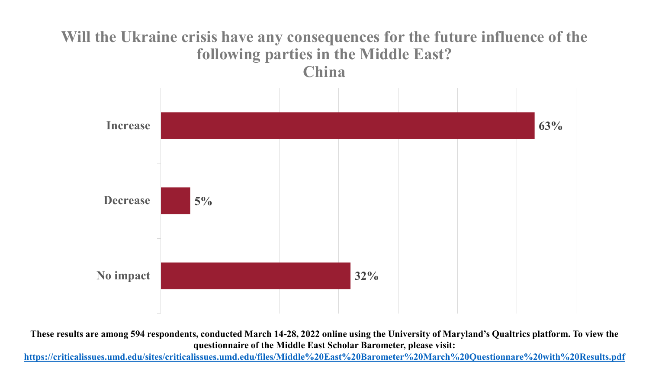#### **Will the Ukraine crisis have any consequences for the future influence of the following parties in the Middle East? China**



**These results are among 594 respondents, conducted March 14-28, 2022 online using the University of Maryland's Qualtrics platform. To view the questionnaire of the Middle East Scholar Barometer, please visit:**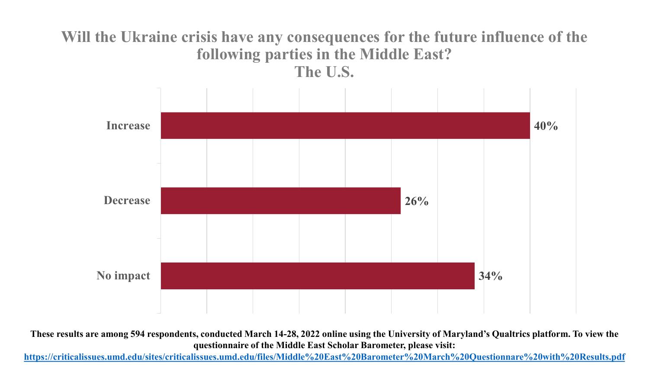#### **Will the Ukraine crisis have any consequences for the future influence of the following parties in the Middle East? The U.S.**



**These results are among 594 respondents, conducted March 14-28, 2022 online using the University of Maryland's Qualtrics platform. To view the questionnaire of the Middle East Scholar Barometer, please visit:**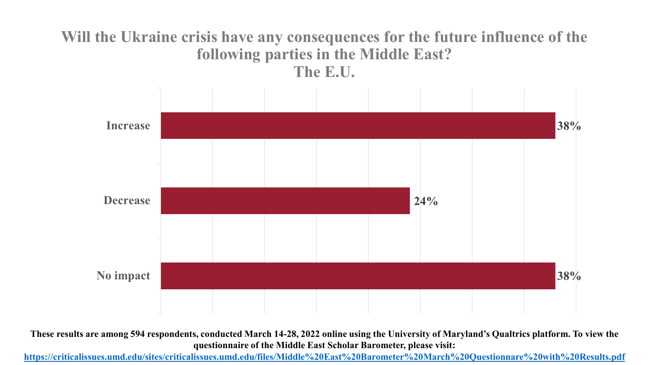#### **Will the Ukraine crisis have any consequences for the future influence of the following parties in the Middle East? The E.U.**



**These results are among 594 respondents, conducted March 14-28, 2022 online using the University of Maryland's Qualtrics platform. To view the questionnaire of the Middle East Scholar Barometer, please visit:**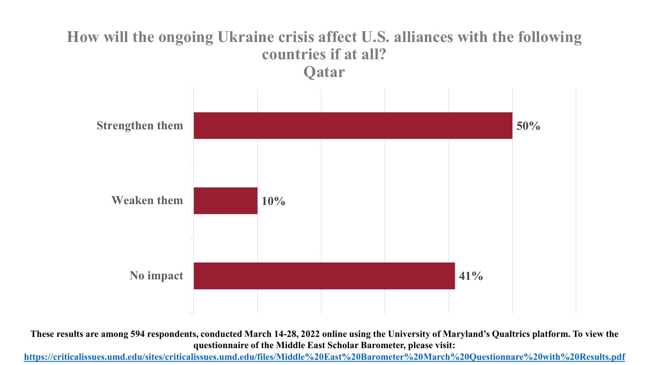# **How will the ongoing Ukraine crisis affect U.S. alliances with the following countries if at all? Qatar 50% 10% 41% Strengthen them Weaken them No impact**

**These results are among 594 respondents, conducted March 14-28, 2022 online using the University of Maryland's Qualtrics platform. To view the questionnaire of the Middle East Scholar Barometer, please visit:**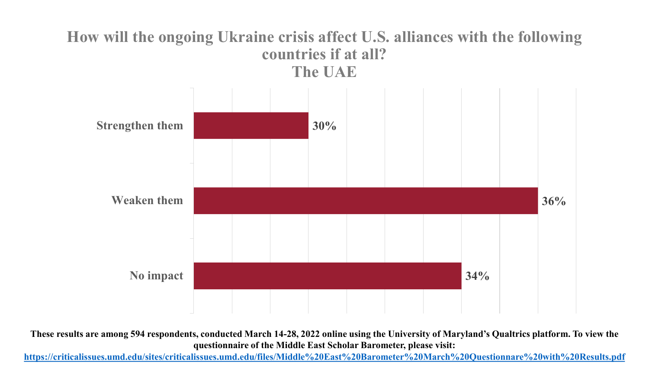# **How will the ongoing Ukraine crisis affect U.S. alliances with the following countries if at all? The UAE 30% 36% 34% Strengthen them Weaken them No impact**

**These results are among 594 respondents, conducted March 14-28, 2022 online using the University of Maryland's Qualtrics platform. To view the questionnaire of the Middle East Scholar Barometer, please visit:**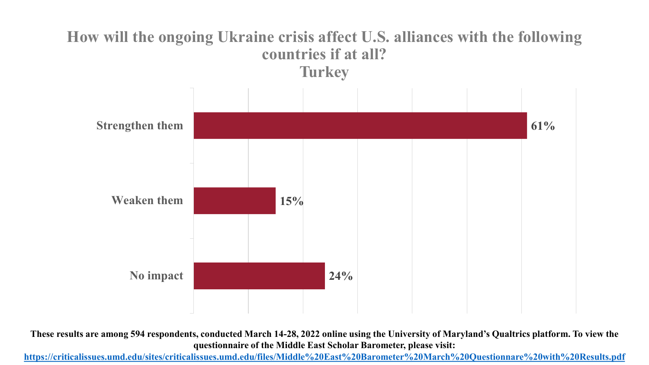

**These results are among 594 respondents, conducted March 14-28, 2022 online using the University of Maryland's Qualtrics platform. To view the questionnaire of the Middle East Scholar Barometer, please visit:**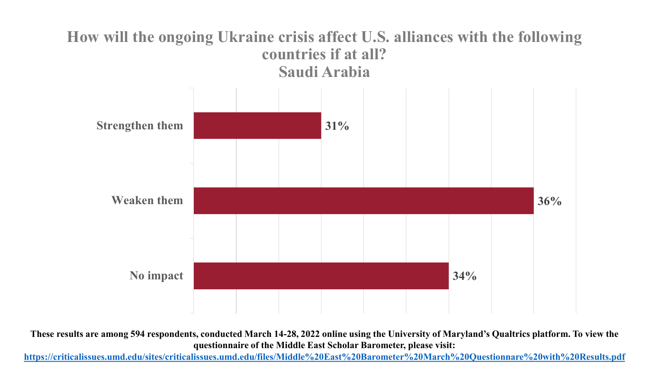#### **How will the ongoing Ukraine crisis affect U.S. alliances with the following countries if at all? Saudi Arabia**



**These results are among 594 respondents, conducted March 14-28, 2022 online using the University of Maryland's Qualtrics platform. To view the questionnaire of the Middle East Scholar Barometer, please visit:**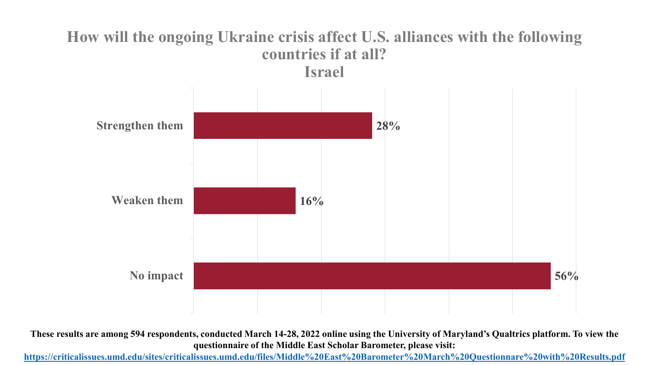#### **How will the ongoing Ukraine crisis affect U.S. alliances with the following countries if at all? Israel**



**These results are among 594 respondents, conducted March 14-28, 2022 online using the University of Maryland's Qualtrics platform. To view the questionnaire of the Middle East Scholar Barometer, please visit:**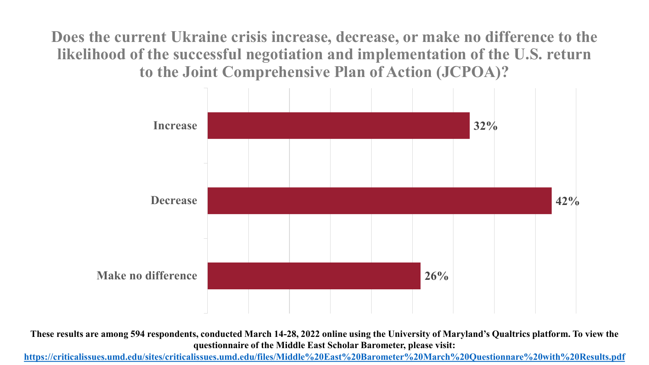**Does the current Ukraine crisis increase, decrease, or make no difference to the likelihood of the successful negotiation and implementation of the U.S. return to the Joint Comprehensive Plan of Action (JCPOA)?**



**These results are among 594 respondents, conducted March 14-28, 2022 online using the University of Maryland's Qualtrics platform. To view the questionnaire of the Middle East Scholar Barometer, please visit:**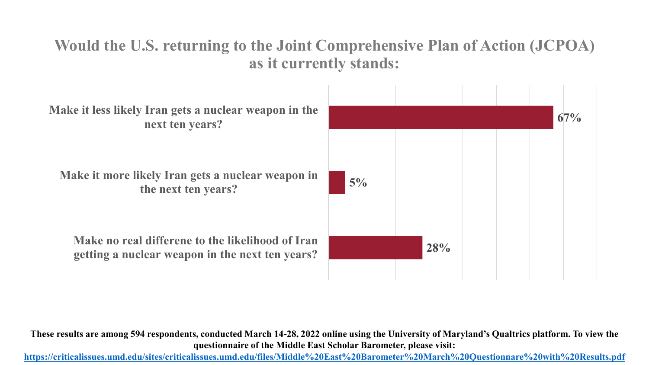## **Would the U.S. returning to the Joint Comprehensive Plan of Action (JCPOA) as it currently stands:**



**These results are among 594 respondents, conducted March 14-28, 2022 online using the University of Maryland's Qualtrics platform. To view the questionnaire of the Middle East Scholar Barometer, please visit:**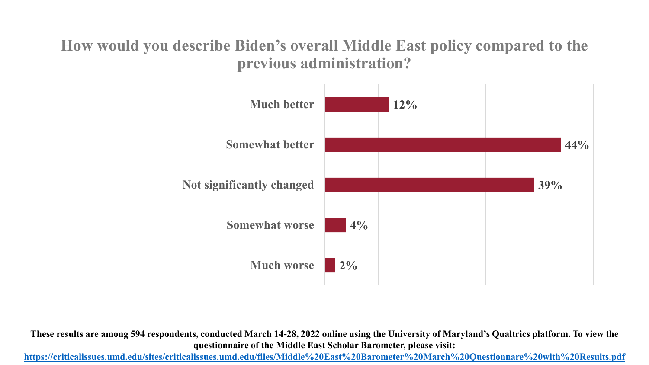#### **How would you describe Biden's overall Middle East policy compared to the previous administration?**



**These results are among 594 respondents, conducted March 14-28, 2022 online using the University of Maryland's Qualtrics platform. To view the questionnaire of the Middle East Scholar Barometer, please visit:**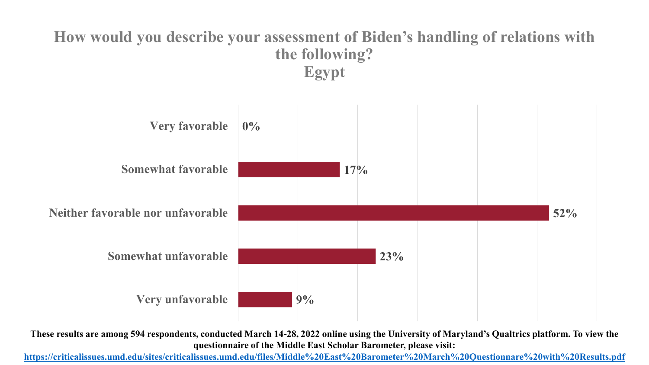#### **How would you describe your assessment of Biden's handling of relations with the following? Egypt**



**These results are among 594 respondents, conducted March 14-28, 2022 online using the University of Maryland's Qualtrics platform. To view the questionnaire of the Middle East Scholar Barometer, please visit:**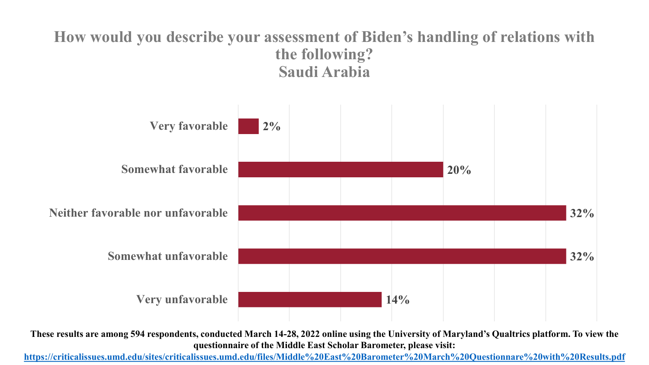#### **How would you describe your assessment of Biden's handling of relations with the following? Saudi Arabia**



**These results are among 594 respondents, conducted March 14-28, 2022 online using the University of Maryland's Qualtrics platform. To view the questionnaire of the Middle East Scholar Barometer, please visit:**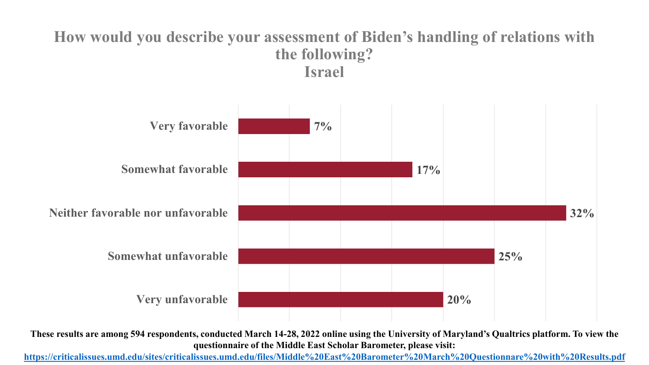#### **How would you describe your assessment of Biden's handling of relations with the following? Israel**



**These results are among 594 respondents, conducted March 14-28, 2022 online using the University of Maryland's Qualtrics platform. To view the questionnaire of the Middle East Scholar Barometer, please visit:**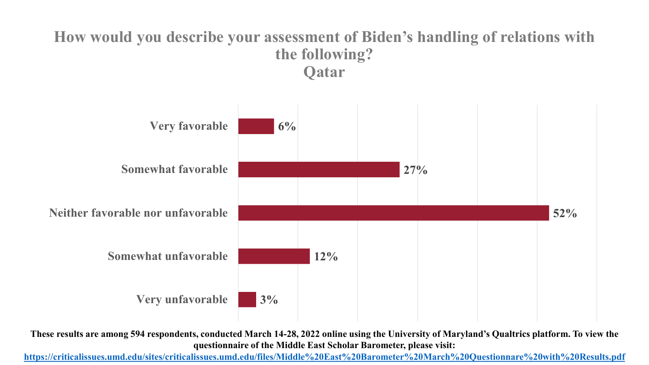#### **How would you describe your assessment of Biden's handling of relations with the following? Qatar**



**These results are among 594 respondents, conducted March 14-28, 2022 online using the University of Maryland's Qualtrics platform. To view the questionnaire of the Middle East Scholar Barometer, please visit:**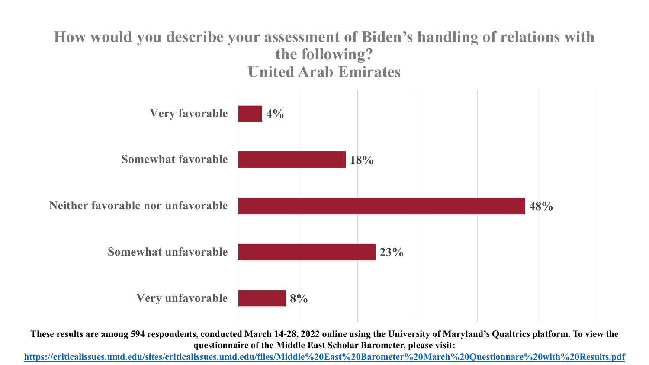#### **How would you describe your assessment of Biden's handling of relations with the following? United Arab Emirates**



**These results are among 594 respondents, conducted March 14-28, 2022 online using the University of Maryland's Qualtrics platform. To view the questionnaire of the Middle East Scholar Barometer, please visit:**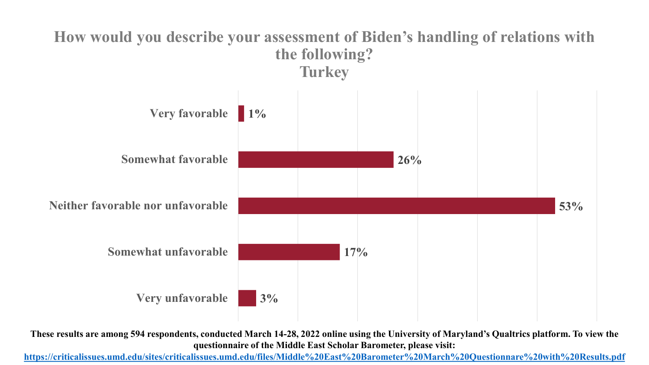

**These results are among 594 respondents, conducted March 14-28, 2022 online using the University of Maryland's Qualtrics platform. To view the questionnaire of the Middle East Scholar Barometer, please visit:**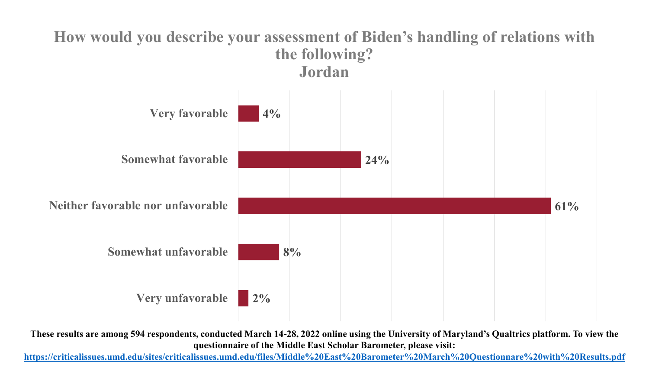#### **How would you describe your assessment of Biden's handling of relations with the following? Jordan**



**These results are among 594 respondents, conducted March 14-28, 2022 online using the University of Maryland's Qualtrics platform. To view the questionnaire of the Middle East Scholar Barometer, please visit:**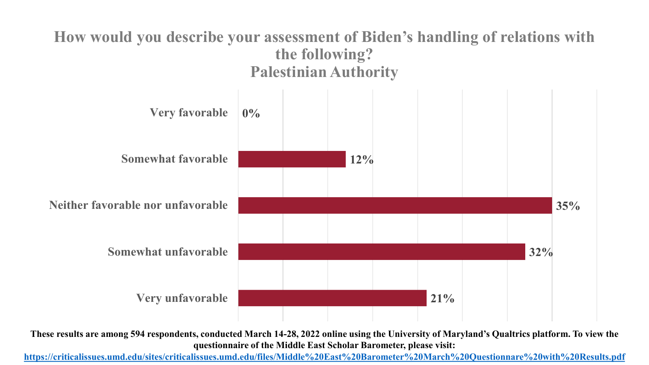#### **How would you describe your assessment of Biden's handling of relations with the following? Palestinian Authority**



**These results are among 594 respondents, conducted March 14-28, 2022 online using the University of Maryland's Qualtrics platform. To view the questionnaire of the Middle East Scholar Barometer, please visit:**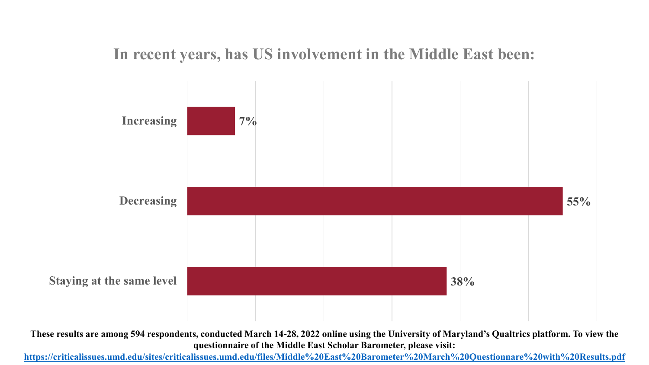#### **In recent years, has US involvement in the Middle East been:**



**These results are among 594 respondents, conducted March 14-28, 2022 online using the University of Maryland's Qualtrics platform. To view the questionnaire of the Middle East Scholar Barometer, please visit:**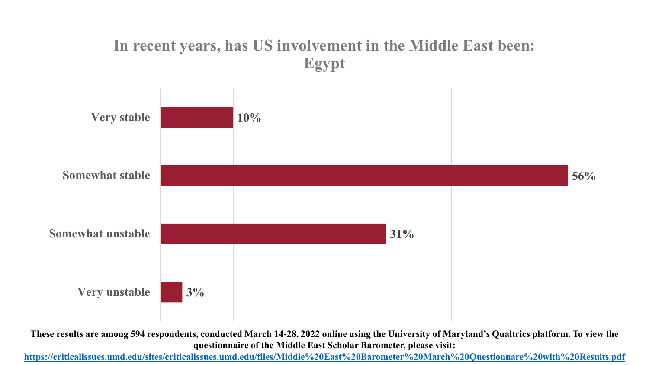## **In recent years, has US involvement in the Middle East been: Egypt**



**These results are among 594 respondents, conducted March 14-28, 2022 online using the University of Maryland's Qualtrics platform. To view the questionnaire of the Middle East Scholar Barometer, please visit:**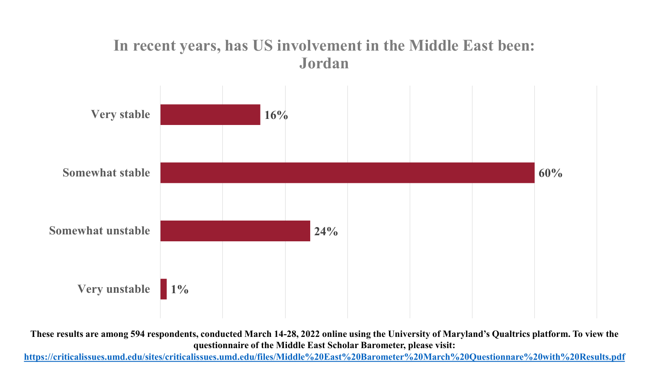#### **In recent years, has US involvement in the Middle East been: Jordan**



**These results are among 594 respondents, conducted March 14-28, 2022 online using the University of Maryland's Qualtrics platform. To view the questionnaire of the Middle East Scholar Barometer, please visit:**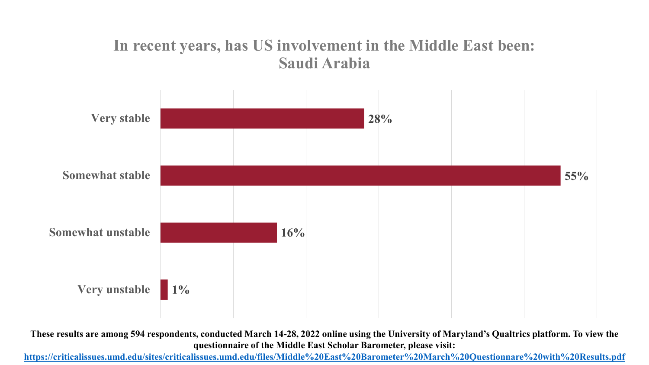#### **In recent years, has US involvement in the Middle East been: Saudi Arabia**



**These results are among 594 respondents, conducted March 14-28, 2022 online using the University of Maryland's Qualtrics platform. To view the questionnaire of the Middle East Scholar Barometer, please visit:**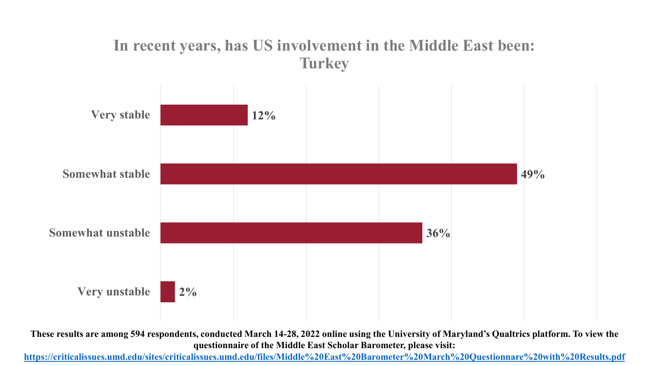#### **In recent years, has US involvement in the Middle East been: Turkey**



**These results are among 594 respondents, conducted March 14-28, 2022 online using the University of Maryland's Qualtrics platform. To view the questionnaire of the Middle East Scholar Barometer, please visit:**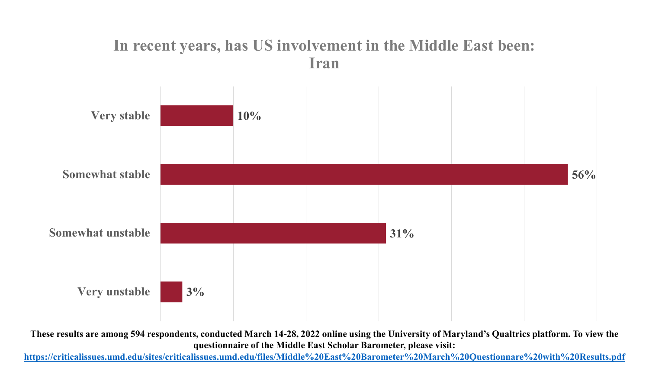#### **In recent years, has US involvement in the Middle East been: Iran**



**These results are among 594 respondents, conducted March 14-28, 2022 online using the University of Maryland's Qualtrics platform. To view the questionnaire of the Middle East Scholar Barometer, please visit:**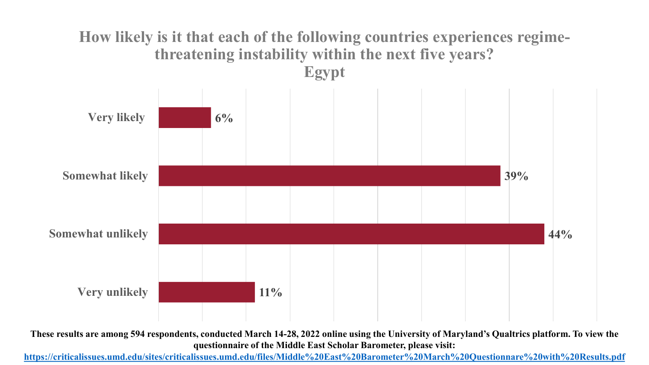#### **How likely is it that each of the following countries experiences regimethreatening instability within the next five years? Egypt**



**These results are among 594 respondents, conducted March 14-28, 2022 online using the University of Maryland's Qualtrics platform. To view the questionnaire of the Middle East Scholar Barometer, please visit:**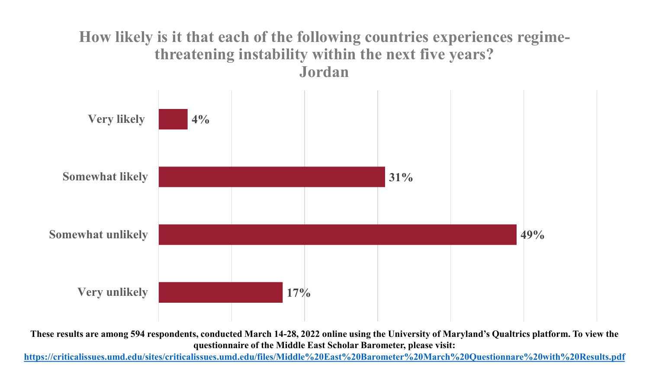#### **How likely is it that each of the following countries experiences regimethreatening instability within the next five years? Jordan**



**These results are among 594 respondents, conducted March 14-28, 2022 online using the University of Maryland's Qualtrics platform. To view the questionnaire of the Middle East Scholar Barometer, please visit:**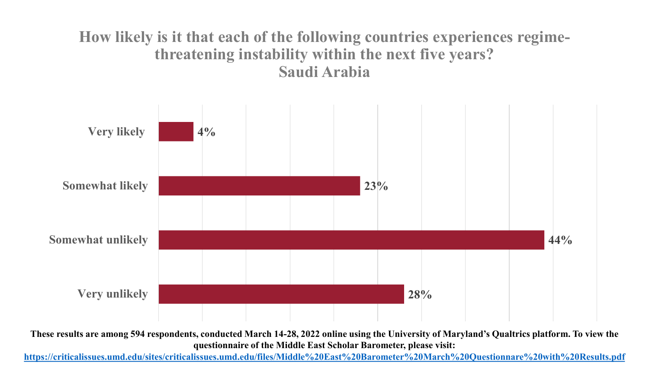#### **How likely is it that each of the following countries experiences regimethreatening instability within the next five years? Saudi Arabia**



**These results are among 594 respondents, conducted March 14-28, 2022 online using the University of Maryland's Qualtrics platform. To view the questionnaire of the Middle East Scholar Barometer, please visit:**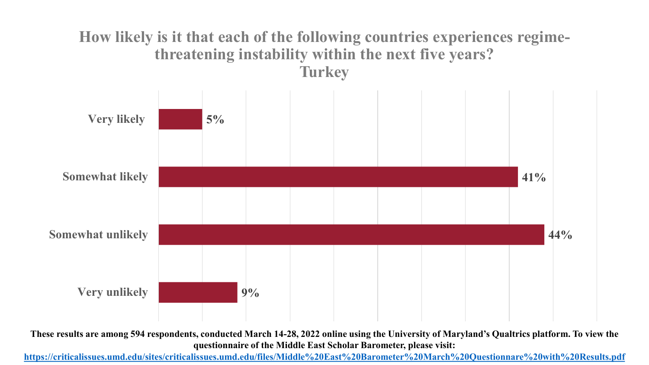#### **How likely is it that each of the following countries experiences regimethreatening instability within the next five years? Turkey**



**These results are among 594 respondents, conducted March 14-28, 2022 online using the University of Maryland's Qualtrics platform. To view the questionnaire of the Middle East Scholar Barometer, please visit:**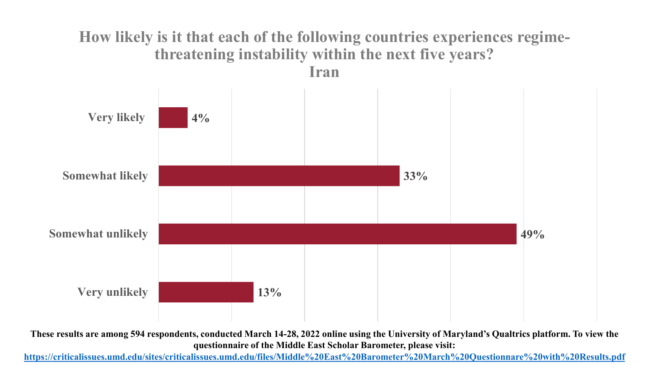#### **How likely is it that each of the following countries experiences regimethreatening instability within the next five years? Iran**



**These results are among 594 respondents, conducted March 14-28, 2022 online using the University of Maryland's Qualtrics platform. To view the questionnaire of the Middle East Scholar Barometer, please visit:**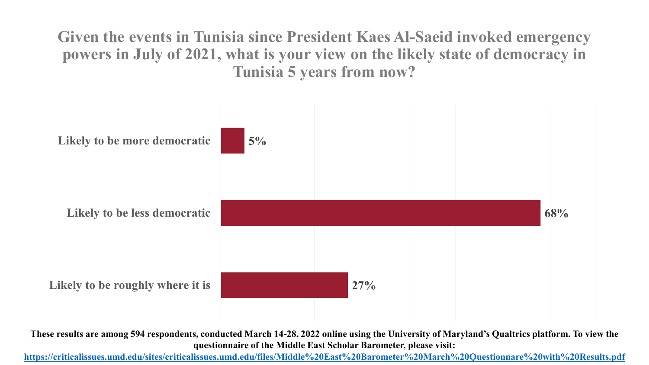**Given the events in Tunisia since President Kaes Al-Saeid invoked emergency powers in July of 2021, what is your view on the likely state of democracy in Tunisia 5 years from now?**



**These results are among 594 respondents, conducted March 14-28, 2022 online using the University of Maryland's Qualtrics platform. To view the questionnaire of the Middle East Scholar Barometer, please visit:**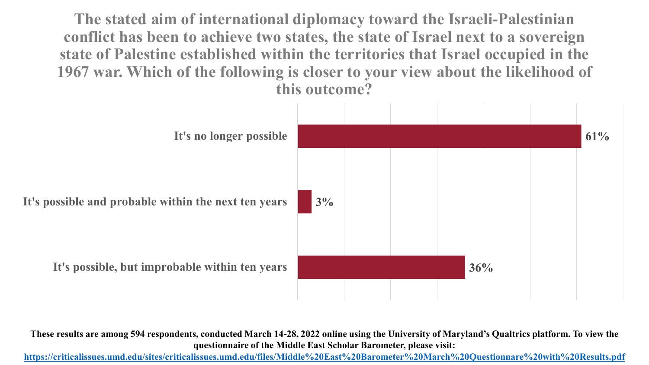**The stated aim of international diplomacy toward the Israeli-Palestinian conflict has been to achieve two states, the state of Israel next to a sovereign state of Palestine established within the territories that Israel occupied in the 1967 war. Which of the following is closer to your view about the likelihood of this outcome?**



**These results are among 594 respondents, conducted March 14-28, 2022 online using the University of Maryland's Qualtrics platform. To view the questionnaire of the Middle East Scholar Barometer, please visit:**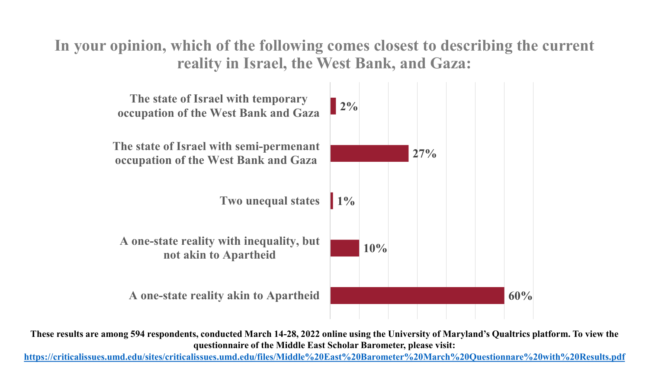**In your opinion, which of the following comes closest to describing the current reality in Israel, the West Bank, and Gaza:**



**These results are among 594 respondents, conducted March 14-28, 2022 online using the University of Maryland's Qualtrics platform. To view the questionnaire of the Middle East Scholar Barometer, please visit:**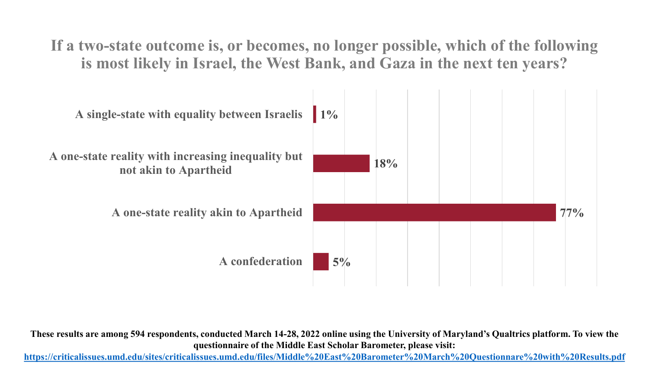**If a two-state outcome is, or becomes, no longer possible, which of the following is most likely in Israel, the West Bank, and Gaza in the next ten years?**



**These results are among 594 respondents, conducted March 14-28, 2022 online using the University of Maryland's Qualtrics platform. To view the questionnaire of the Middle East Scholar Barometer, please visit:**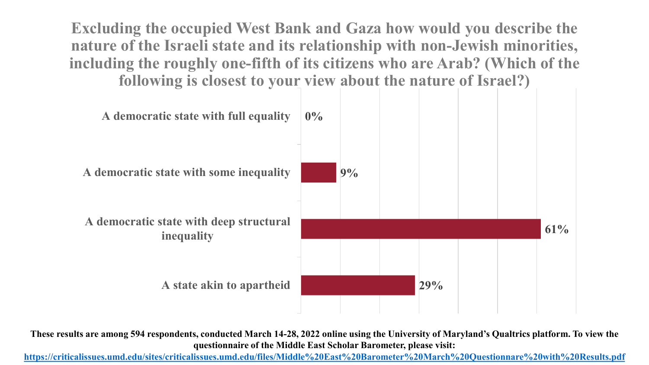**Excluding the occupied West Bank and Gaza how would you describe the nature of the Israeli state and its relationship with non-Jewish minorities, including the roughly one-fifth of its citizens who are Arab? (Which of the following is closest to your view about the nature of Israel?)**



**These results are among 594 respondents, conducted March 14-28, 2022 online using the University of Maryland's Qualtrics platform. To view the questionnaire of the Middle East Scholar Barometer, please visit:**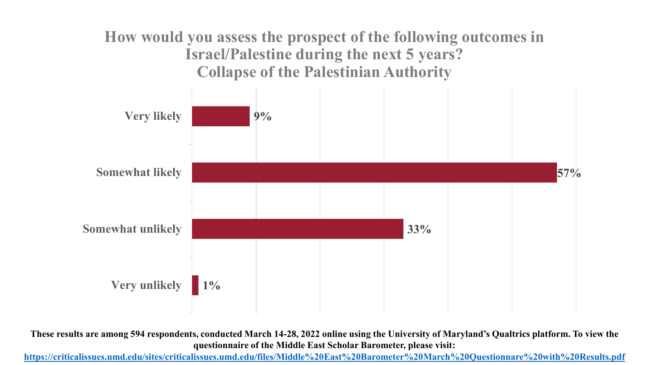**How would you assess the prospect of the following outcomes in Israel/Palestine during the next 5 years? Collapse of the Palestinian Authority** 



**These results are among 594 respondents, conducted March 14-28, 2022 online using the University of Maryland's Qualtrics platform. To view the questionnaire of the Middle East Scholar Barometer, please visit:**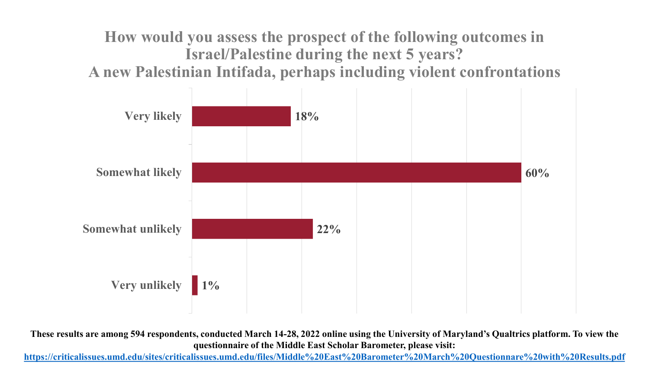**How would you assess the prospect of the following outcomes in Israel/Palestine during the next 5 years? A new Palestinian Intifada, perhaps including violent confrontations**



**These results are among 594 respondents, conducted March 14-28, 2022 online using the University of Maryland's Qualtrics platform. To view the questionnaire of the Middle East Scholar Barometer, please visit:**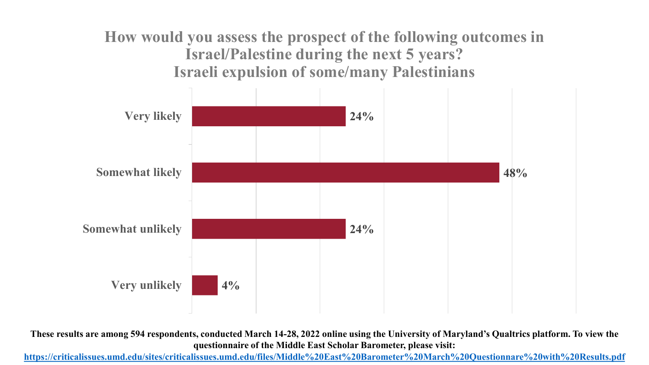**How would you assess the prospect of the following outcomes in Israel/Palestine during the next 5 years? Israeli expulsion of some/many Palestinians**



**These results are among 594 respondents, conducted March 14-28, 2022 online using the University of Maryland's Qualtrics platform. To view the questionnaire of the Middle East Scholar Barometer, please visit:**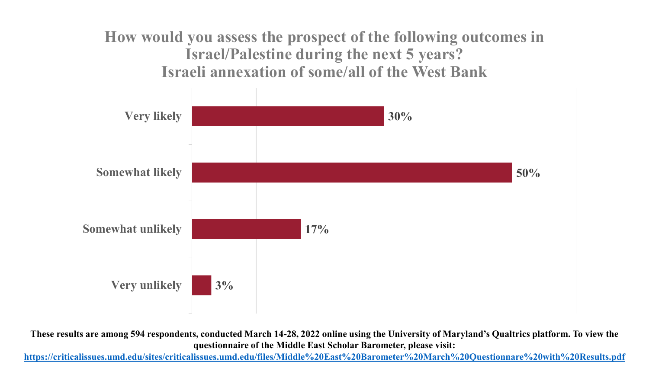**How would you assess the prospect of the following outcomes in Israel/Palestine during the next 5 years? Israeli annexation of some/all of the West Bank**



**These results are among 594 respondents, conducted March 14-28, 2022 online using the University of Maryland's Qualtrics platform. To view the questionnaire of the Middle East Scholar Barometer, please visit:**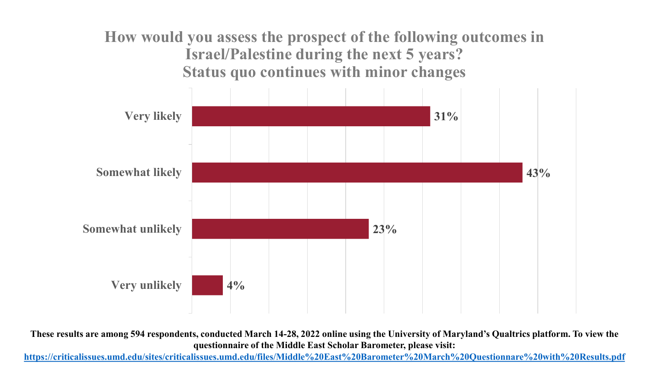**How would you assess the prospect of the following outcomes in Israel/Palestine during the next 5 years? Status quo continues with minor changes**



**These results are among 594 respondents, conducted March 14-28, 2022 online using the University of Maryland's Qualtrics platform. To view the questionnaire of the Middle East Scholar Barometer, please visit:**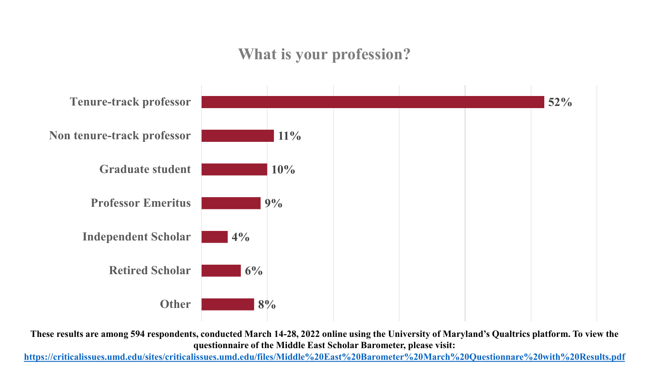# **What is your profession?**



**These results are among 594 respondents, conducted March 14-28, 2022 online using the University of Maryland's Qualtrics platform. To view the questionnaire of the Middle East Scholar Barometer, please visit:**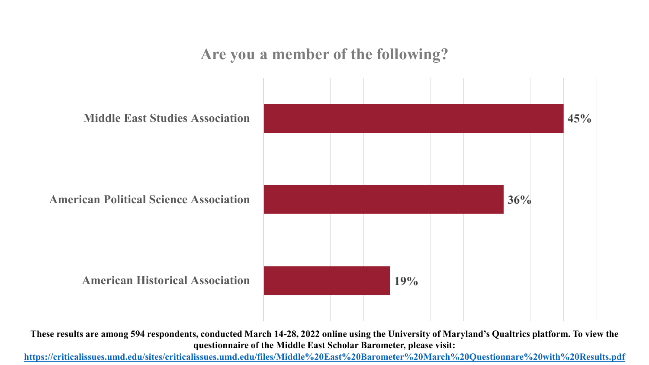**Are you a member of the following?**



**These results are among 594 respondents, conducted March 14-28, 2022 online using the University of Maryland's Qualtrics platform. To view the questionnaire of the Middle East Scholar Barometer, please visit:**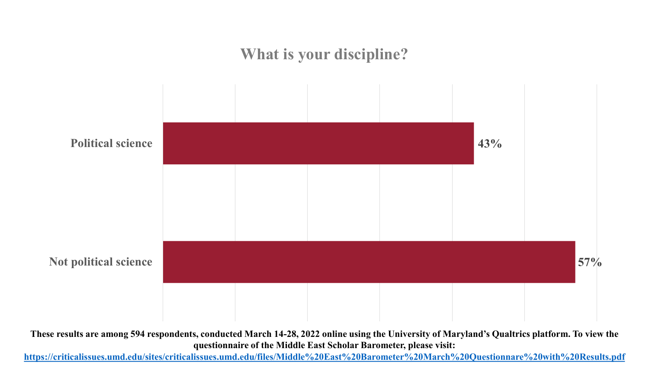# **What is your discipline? 43% 57% Political science Not political science**

**These results are among 594 respondents, conducted March 14-28, 2022 online using the University of Maryland's Qualtrics platform. To view the questionnaire of the Middle East Scholar Barometer, please visit:**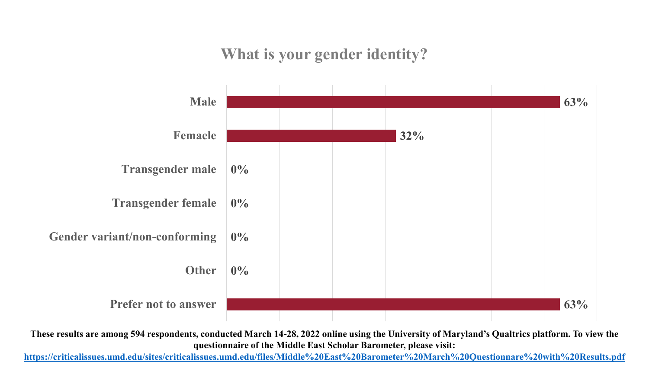**What is your gender identity?**



**These results are among 594 respondents, conducted March 14-28, 2022 online using the University of Maryland's Qualtrics platform. To view the questionnaire of the Middle East Scholar Barometer, please visit:**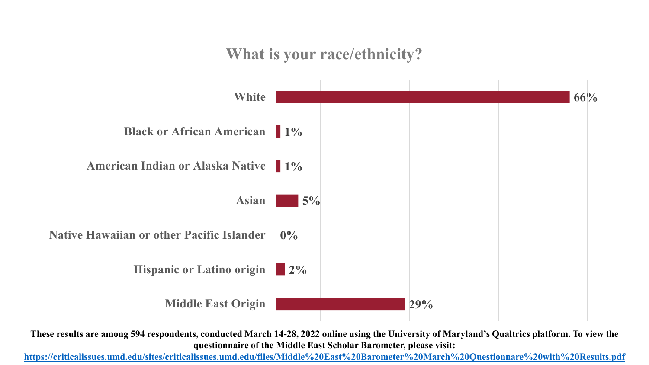**What is your race/ethnicity?**



**These results are among 594 respondents, conducted March 14-28, 2022 online using the University of Maryland's Qualtrics platform. To view the questionnaire of the Middle East Scholar Barometer, please visit:**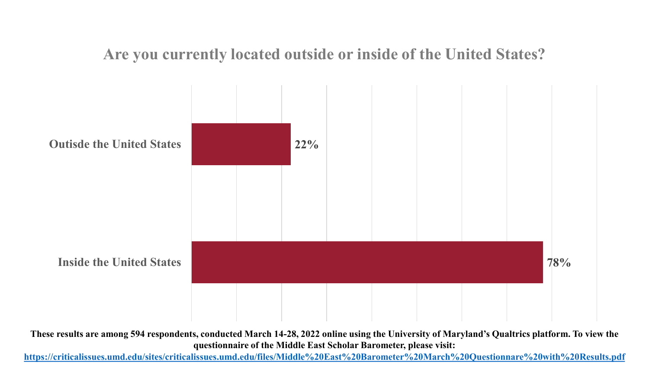**Are you currently located outside or inside of the United States?**



**These results are among 594 respondents, conducted March 14-28, 2022 online using the University of Maryland's Qualtrics platform. To view the questionnaire of the Middle East Scholar Barometer, please visit:**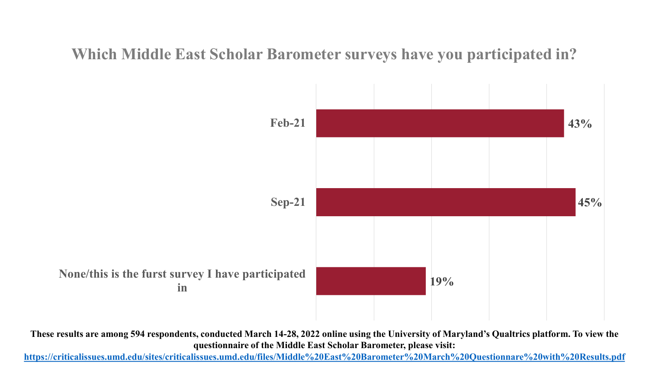**Which Middle East Scholar Barometer surveys have you participated in?**



**These results are among 594 respondents, conducted March 14-28, 2022 online using the University of Maryland's Qualtrics platform. To view the questionnaire of the Middle East Scholar Barometer, please visit:**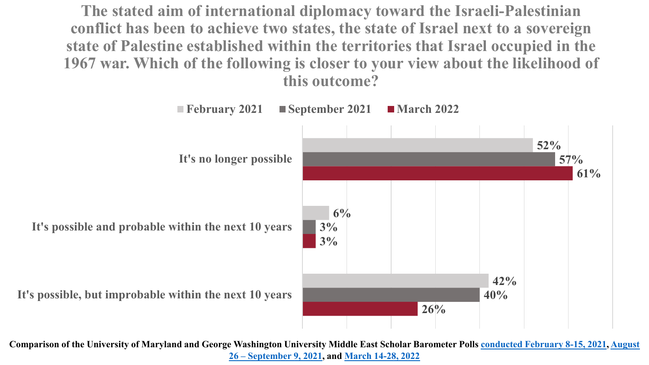**The stated aim of international diplomacy toward the Israeli-Palestinian conflict has been to achieve two states, the state of Israel next to a sovereign state of Palestine established within the territories that Israel occupied in the 1967 war. Which of the following is closer to your view about the likelihood of this outcome?**

![](_page_48_Figure_1.jpeg)

**Comparison of the University of Maryland and Georg[e Washington University Middle East Scholar Barometer Polls](https://criticalissues.umd.edu/sites/criticalissues.umd.edu/files/Middle%20East%20Scholar%20Barometer%20Questionnaire%20September%202021%20Final.pdf) [conducted February 8-15, 202](https://criticalissues.umd.edu/sites/criticalissues.umd.edu/files/Middle%20East%20Scholar%20Barometer%25%2020Questionnaire.pdf)[1, August](https://criticalissues.umd.edu/sites/criticalissues.umd.edu/files/Middle%20East%20Scholar%20Barometer%20Questionnaire%20September%202021%20Final.pdf) 26 – September 9, 2021, and [March 14-28, 2022](https://criticalissues.umd.edu/sites/criticalissues.umd.edu/files/Middle%20East%20Barometer%20March%20Questionnare%20with%20Results.pdf)**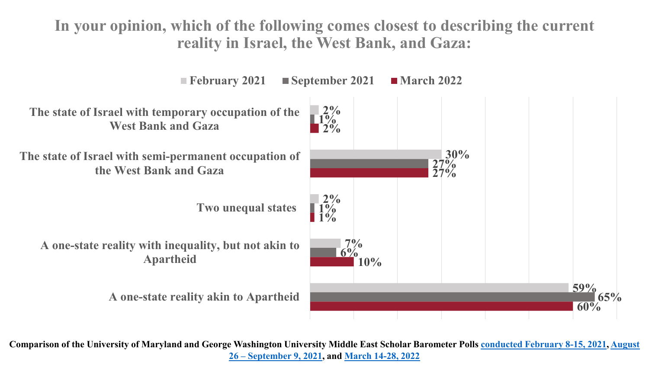**In your opinion, which of the following comes closest to describing the current reality in Israel, the West Bank, and Gaza:**

![](_page_49_Figure_1.jpeg)

**Comparison of the University of Maryland and Georg[e Washington University Middle East Scholar Barometer Polls](https://criticalissues.umd.edu/sites/criticalissues.umd.edu/files/Middle%20East%20Scholar%20Barometer%20Questionnaire%20September%202021%20Final.pdf) [conducted February 8-15, 202](https://criticalissues.umd.edu/sites/criticalissues.umd.edu/files/Middle%20East%20Scholar%20Barometer%25%2020Questionnaire.pdf)[1, August](https://criticalissues.umd.edu/sites/criticalissues.umd.edu/files/Middle%20East%20Scholar%20Barometer%20Questionnaire%20September%202021%20Final.pdf) 26 – September 9, 2021, and [March 14-28, 2022](https://criticalissues.umd.edu/sites/criticalissues.umd.edu/files/Middle%20East%20Barometer%20March%20Questionnare%20with%20Results.pdf)**